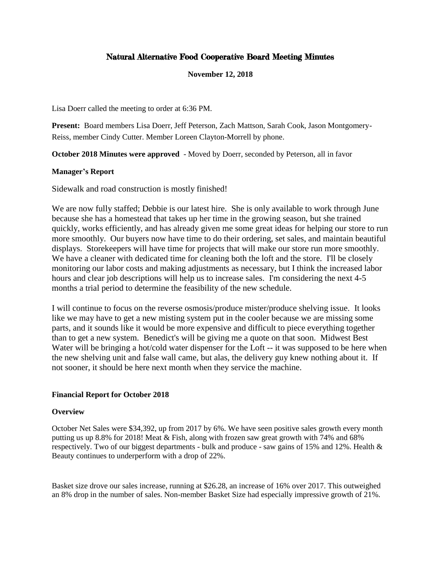# Natural Alternative Food Cooperative Board Meeting Minutes

**November 12, 2018**

Lisa Doerr called the meeting to order at 6:36 PM.

**Present:** Board members Lisa Doerr, Jeff Peterson, Zach Mattson, Sarah Cook, Jason Montgomery-Reiss, member Cindy Cutter. Member Loreen Clayton-Morrell by phone.

**October 2018 Minutes were approved** - Moved by Doerr, seconded by Peterson, all in favor

### **Manager's Report**

Sidewalk and road construction is mostly finished!

We are now fully staffed; Debbie is our latest hire. She is only available to work through June because she has a homestead that takes up her time in the growing season, but she trained quickly, works efficiently, and has already given me some great ideas for helping our store to run more smoothly. Our buyers now have time to do their ordering, set sales, and maintain beautiful displays. Storekeepers will have time for projects that will make our store run more smoothly. We have a cleaner with dedicated time for cleaning both the loft and the store. I'll be closely monitoring our labor costs and making adjustments as necessary, but I think the increased labor hours and clear job descriptions will help us to increase sales. I'm considering the next 4-5 months a trial period to determine the feasibility of the new schedule.

I will continue to focus on the reverse osmosis/produce mister/produce shelving issue. It looks like we may have to get a new misting system put in the cooler because we are missing some parts, and it sounds like it would be more expensive and difficult to piece everything together than to get a new system. Benedict's will be giving me a quote on that soon. Midwest Best Water will be bringing a hot/cold water dispenser for the Loft -- it was supposed to be here when the new shelving unit and false wall came, but alas, the delivery guy knew nothing about it. If not sooner, it should be here next month when they service the machine.

### **Financial Report for October 2018**

### **Overview**

October Net Sales were \$34,392, up from 2017 by 6%. We have seen positive sales growth every month putting us up 8.8% for 2018! Meat & Fish, along with frozen saw great growth with 74% and 68% respectively. Two of our biggest departments - bulk and produce - saw gains of 15% and 12%. Health & Beauty continues to underperform with a drop of 22%.

Basket size drove our sales increase, running at \$26.28, an increase of 16% over 2017. This outweighed an 8% drop in the number of sales. Non-member Basket Size had especially impressive growth of 21%.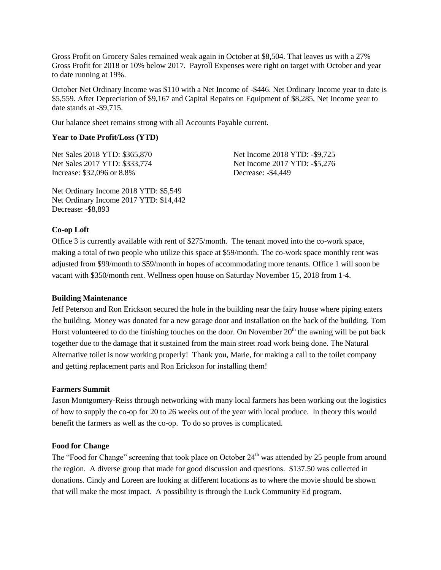Gross Profit on Grocery Sales remained weak again in October at \$8,504. That leaves us with a 27% Gross Profit for 2018 or 10% below 2017. Payroll Expenses were right on target with October and year to date running at 19%.

October Net Ordinary Income was \$110 with a Net Income of -\$446. Net Ordinary Income year to date is \$5,559. After Depreciation of \$9,167 and Capital Repairs on Equipment of \$8,285, Net Income year to date stands at -\$9,715.

Our balance sheet remains strong with all Accounts Payable current.

#### **Year to Date Profit/Loss (YTD)**

Net Sales 2018 YTD: \$365,870 Net Sales 2017 YTD: \$333,774 Increase: \$32,096 or 8.8%

Net Income 2018 YTD: -\$9,725 Net Income 2017 YTD: -\$5,276 Decrease: -\$4,449

Net Ordinary Income 2018 YTD: \$5,549 Net Ordinary Income 2017 YTD: \$14,442 Decrease: -\$8,893

#### **Co-op Loft**

Office 3 is currently available with rent of \$275/month. The tenant moved into the co-work space, making a total of two people who utilize this space at \$59/month. The co-work space monthly rent was adjusted from \$99/month to \$59/month in hopes of accommodating more tenants. Office 1 will soon be vacant with \$350/month rent. Wellness open house on Saturday November 15, 2018 from 1-4.

#### **Building Maintenance**

Jeff Peterson and Ron Erickson secured the hole in the building near the fairy house where piping enters the building. Money was donated for a new garage door and installation on the back of the building. Tom Horst volunteered to do the finishing touches on the door. On November  $20<sup>th</sup>$  the awning will be put back together due to the damage that it sustained from the main street road work being done. The Natural Alternative toilet is now working properly! Thank you, Marie, for making a call to the toilet company and getting replacement parts and Ron Erickson for installing them!

### **Farmers Summit**

Jason Montgomery-Reiss through networking with many local farmers has been working out the logistics of how to supply the co-op for 20 to 26 weeks out of the year with local produce. In theory this would benefit the farmers as well as the co-op. To do so proves is complicated.

#### **Food for Change**

The "Food for Change" screening that took place on October 24<sup>th</sup> was attended by 25 people from around the region. A diverse group that made for good discussion and questions. \$137.50 was collected in donations. Cindy and Loreen are looking at different locations as to where the movie should be shown that will make the most impact. A possibility is through the Luck Community Ed program.